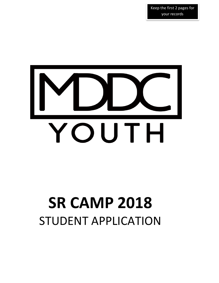Keep the first 2 pages for your records



# **SR CAMP 2018** STUDENT APPLICATION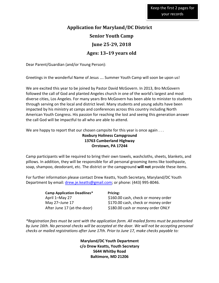# **Application for Maryland/DC District Senior Youth Camp June 25-29, 2018 Ages: 13–19 years old**

Dear Parent/Guardian (and/or Young Person):

Greetings in the wonderful Name of Jesus .... Summer Youth Camp will soon be upon us!

We are excited this year to be joined by Pastor David McGovern. In 2013, Bro McGovern followed the call of God and planted Angeles church in one of the world's largest and most diverse cities, Los Angeles. For many years Bro McGovern has been able to minister to students through serving on the local and district level. Many students and young adults have been impacted by his ministry at camps and conferences across this country including North American Youth Congress. His passion for reaching the lost and seeing this generation answer the call God will be impactful to all who are able to attend.

We are happy to report that our chosen campsite for this year is once again  $\dots$ 

#### **Roxbury Holiness Campground 13763 Cumberland Highway Orrstown, PA 17244**

Camp participants will be required to bring their own towels, washcloths, sheets, blankets, and pillows. In addition, they will be responsible for all personal grooming items like toothpaste, soap, shampoo, deodorant, etc. The district or the campground will not provide these items.

For further information please contact Drew Keatts, Youth Secretary, Maryland/DC Youth Department by email: drew.je.keatts@gmail.com; or phone: (443) 995-8046.

| <b>Camp Application Deadlines*</b> | Pricing:                            |
|------------------------------------|-------------------------------------|
| April 1-May 27                     | \$160.00 cash, check or money order |
| May 27-June 17                     | \$170.00 cash, check or money order |
| After June 17 (at-the-door)        | \$180.00 cash or money order ONLY   |

\*Registration fees must be sent with the application form. All mailed forms must be postmarked by June 16th. No personal checks will be accepted at the door. We will not be accepting personal *checks or mailed registrations after June 17th. Prior to June 17, make checks payable to:* 

> **Maryland/DC Youth Department c/o Drew Keatts, Youth Secretary 5644 Whitby Road Baltimore, MD 21206**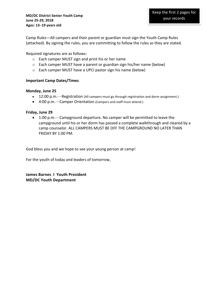Camp Rules—All campers and their parent or guardian must sign the Youth Camp Rules (attached). By signing the rules, you are committing to follow the rules as they are stated.

Required signatures are as follows:

- $\circ$  Each camper MUST sign and print his or her name
- $\circ$  Each camper MUST have a parent or guardian sign his/her name (below)
- $\circ$  Each camper MUST have a UPCI pastor sign his name (below)

#### **Important Camp Dates/Times**

#### **Monday, June 25**

- 12:00 p.m.—Registration (All campers must go through registration and dorm assignment.)
- 4:00 p.m.—Camper Orientation (Campers and staff must attend.)

#### **Friday, June 29**

• 1:00 p.m.—Campground departure. No camper will be permitted to leave the campground until his or her dorm has passed a complete walkthrough and cleared by a camp counselor. ALL CAMPERS MUST BE OFF THE CAMPGROUND NO LATER THAN FRIDAY BY 1:00 PM.

God bless you and we hope to see your young person at camp!

For the youth of today and leaders of tomorrow,

**James Barnes I Youth President MD/DC Youth Department**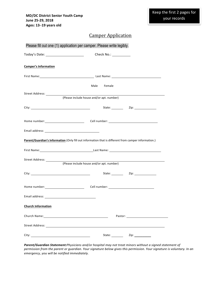## Camper Application

|                                                                                                                | Please fill out one (1) application per camper. Please write legibly.                                           |                          |
|----------------------------------------------------------------------------------------------------------------|-----------------------------------------------------------------------------------------------------------------|--------------------------|
|                                                                                                                |                                                                                                                 |                          |
| <b>Camper's Information</b>                                                                                    |                                                                                                                 |                          |
|                                                                                                                |                                                                                                                 |                          |
|                                                                                                                | Female<br>Male                                                                                                  |                          |
|                                                                                                                |                                                                                                                 |                          |
|                                                                                                                |                                                                                                                 |                          |
|                                                                                                                |                                                                                                                 |                          |
| Home number: ___________________________________Cell number: ____________________                              |                                                                                                                 |                          |
|                                                                                                                |                                                                                                                 |                          |
| Parent/Guardian's Information (Only fill out information that is different from camper information.)           |                                                                                                                 |                          |
|                                                                                                                |                                                                                                                 |                          |
|                                                                                                                |                                                                                                                 |                          |
|                                                                                                                | (Please include house and/or apt. number)                                                                       |                          |
|                                                                                                                |                                                                                                                 |                          |
|                                                                                                                |                                                                                                                 |                          |
|                                                                                                                |                                                                                                                 |                          |
| <b>Church Information</b>                                                                                      |                                                                                                                 |                          |
| Church Name: 1988 Church Name: 1988 Church Name: 1988 Church Name: 1988 Church Name: 1988 Church Name: 1988 Ch |                                                                                                                 | Pastor: National Pastor: |
|                                                                                                                |                                                                                                                 |                          |
|                                                                                                                | State: and the state of the state of the state of the state of the state of the state of the state of the state |                          |

Parent/Guardian Statement:Physicians and/or hospital may not treat minors without a signed statement of permission from the parent or guardian. Your signature below gives this permission. Your signature is voluntary. In an *emergency, you will be notified immediately.*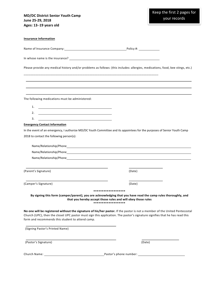| <b>MD/DC District Senior Youth Camp</b> |
|-----------------------------------------|
| June 25-29, 2018                        |
| Ages: 13-19 years old                   |

| <b>Insurance Information</b>                                                                                                |                                                                                                                                                                                                                                                           |  |
|-----------------------------------------------------------------------------------------------------------------------------|-----------------------------------------------------------------------------------------------------------------------------------------------------------------------------------------------------------------------------------------------------------|--|
| Name of Insurance Company: Name of Insurance Company: Name of Insurance Company:                                            |                                                                                                                                                                                                                                                           |  |
|                                                                                                                             |                                                                                                                                                                                                                                                           |  |
|                                                                                                                             | Please provide any medical history and/or problems as follows: (this includes: allergies, medications, food, bee stings, etc.)                                                                                                                            |  |
|                                                                                                                             |                                                                                                                                                                                                                                                           |  |
|                                                                                                                             |                                                                                                                                                                                                                                                           |  |
| The following medications must be administered:                                                                             |                                                                                                                                                                                                                                                           |  |
| <u> 1989 - Johann Barn, mars and de Branch Barn, mars and de Branch Barn, mars and de Branch Barn, mars and de Br</u><br>1. |                                                                                                                                                                                                                                                           |  |
| 2.                                                                                                                          |                                                                                                                                                                                                                                                           |  |
| 3.                                                                                                                          |                                                                                                                                                                                                                                                           |  |
| <b>Emergency Contact Information</b>                                                                                        |                                                                                                                                                                                                                                                           |  |
|                                                                                                                             | In the event of an emergency, I authorize MD/DC Youth Committee and its appointees for the purposes of Senior Youth Camp                                                                                                                                  |  |
| 2018 to contact the following person(s):                                                                                    |                                                                                                                                                                                                                                                           |  |
|                                                                                                                             |                                                                                                                                                                                                                                                           |  |
|                                                                                                                             |                                                                                                                                                                                                                                                           |  |
|                                                                                                                             |                                                                                                                                                                                                                                                           |  |
|                                                                                                                             |                                                                                                                                                                                                                                                           |  |
| (Parent's Signature)                                                                                                        | (Date)                                                                                                                                                                                                                                                    |  |
| (Camper's Signature)                                                                                                        | (Date)                                                                                                                                                                                                                                                    |  |
|                                                                                                                             |                                                                                                                                                                                                                                                           |  |
|                                                                                                                             | By signing this form (camper/parent), you are acknowledging that you have read the camp rules thoroughly, and<br>that you hereby accept those rules and will obey those rules<br>*******************                                                      |  |
| form and recommends this student to attend camp.                                                                            | No one will be registered without the signature of his/her pastor. If the pastor is not a member of the United Pentecostal<br>Church (UPC), then the closet UPC pastor must sign this application. The pastor's signature signifies that he has read this |  |
| (Signing Pastor's Printed Name)                                                                                             |                                                                                                                                                                                                                                                           |  |
| (Pastor's Signature)                                                                                                        | (Date)                                                                                                                                                                                                                                                    |  |
| Church Name: __                                                                                                             | _Pastor's phone number: _                                                                                                                                                                                                                                 |  |